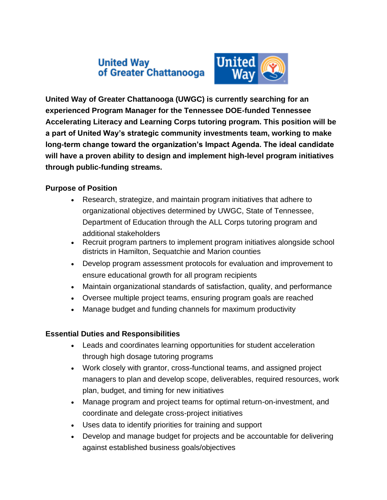# **United Way** of Greater Chattanooga



**United Way of Greater Chattanooga (UWGC) is currently searching for an experienced Program Manager for the Tennessee DOE-funded Tennessee Accelerating Literacy and Learning Corps tutoring program. This position will be a part of United Way's strategic community investments team, working to make long-term change toward the organization's Impact Agenda. The ideal candidate will have a proven ability to design and implement high-level program initiatives through public-funding streams.**

## **Purpose of Position**

- Research, strategize, and maintain program initiatives that adhere to organizational objectives determined by UWGC, State of Tennessee, Department of Education through the ALL Corps tutoring program and additional stakeholders
- Recruit program partners to implement program initiatives alongside school districts in Hamilton, Sequatchie and Marion counties
- Develop program assessment protocols for evaluation and improvement to ensure educational growth for all program recipients
- Maintain organizational standards of satisfaction, quality, and performance
- Oversee multiple project teams, ensuring program goals are reached
- Manage budget and funding channels for maximum productivity

# **Essential Duties and Responsibilities**

- Leads and coordinates learning opportunities for student acceleration through high dosage tutoring programs
- Work closely with grantor, cross-functional teams, and assigned project managers to plan and develop scope, deliverables, required resources, work plan, budget, and timing for new initiatives
- Manage program and project teams for optimal return-on-investment, and coordinate and delegate cross-project initiatives
- Uses data to identify priorities for training and support
- Develop and manage budget for projects and be accountable for delivering against established business goals/objectives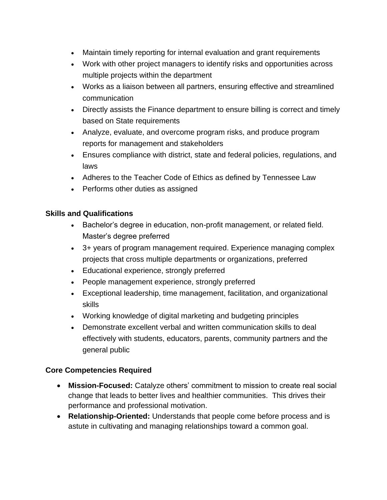- Maintain timely reporting for internal evaluation and grant requirements
- Work with other project managers to identify risks and opportunities across multiple projects within the department
- Works as a liaison between all partners, ensuring effective and streamlined communication
- Directly assists the Finance department to ensure billing is correct and timely based on State requirements
- Analyze, evaluate, and overcome program risks, and produce program reports for management and stakeholders
- Ensures compliance with district, state and federal policies, regulations, and laws
- Adheres to the Teacher Code of Ethics as defined by Tennessee Law
- Performs other duties as assigned

#### **Skills and Qualifications**

- Bachelor's degree in education, non-profit management, or related field. Master's degree preferred
- 3+ years of program management required. Experience managing complex projects that cross multiple departments or organizations, preferred
- Educational experience, strongly preferred
- People management experience, strongly preferred
- Exceptional leadership, time management, facilitation, and organizational skills
- Working knowledge of digital marketing and budgeting principles
- Demonstrate excellent verbal and written communication skills to deal effectively with students, educators, parents, community partners and the general public

#### **Core Competencies Required**

- **Mission-Focused:** Catalyze others' commitment to mission to create real social change that leads to better lives and healthier communities. This drives their performance and professional motivation.
- **Relationship-Oriented:** Understands that people come before process and is astute in cultivating and managing relationships toward a common goal.